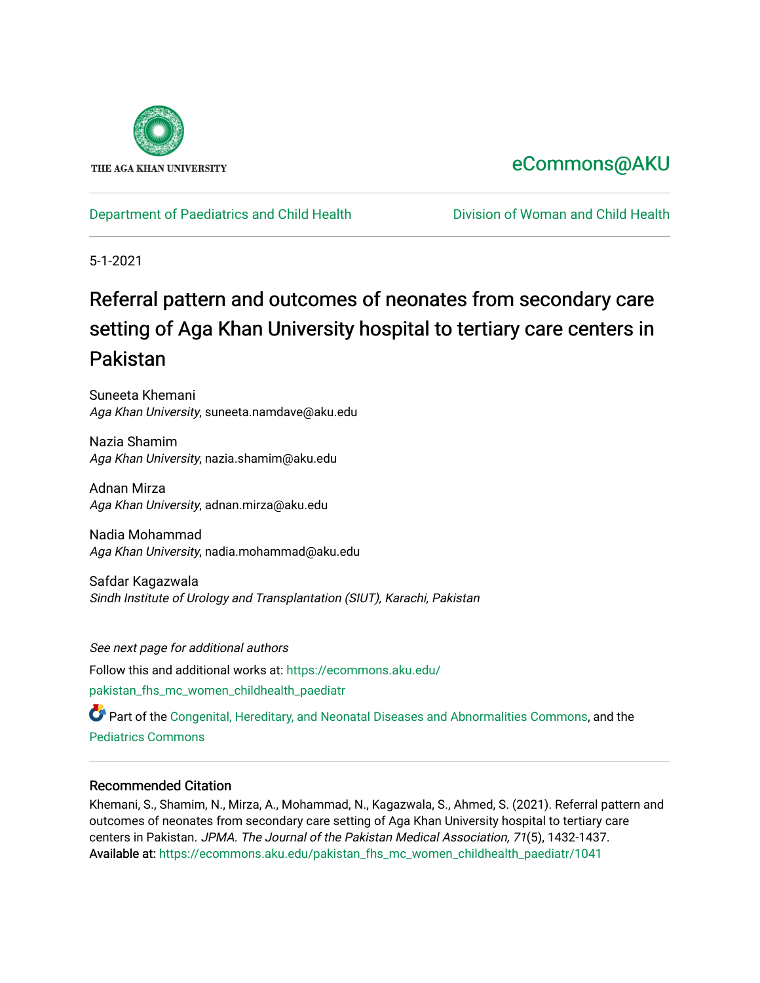

## [eCommons@AKU](https://ecommons.aku.edu/)

#### [Department of Paediatrics and Child Health](https://ecommons.aku.edu/pakistan_fhs_mc_women_childhealth_paediatr) [Division of Woman and Child Health](https://ecommons.aku.edu/pakistan_fhs_mc_women_childhealth)

5-1-2021

# Referral pattern and outcomes of neonates from secondary care setting of Aga Khan University hospital to tertiary care centers in Pakistan

Suneeta Khemani Aga Khan University, suneeta.namdave@aku.edu

Nazia Shamim Aga Khan University, nazia.shamim@aku.edu

Adnan Mirza Aga Khan University, adnan.mirza@aku.edu

Nadia Mohammad Aga Khan University, nadia.mohammad@aku.edu

Safdar Kagazwala Sindh Institute of Urology and Transplantation (SIUT), Karachi, Pakistan

See next page for additional authors Follow this and additional works at: [https://ecommons.aku.edu/](https://ecommons.aku.edu/pakistan_fhs_mc_women_childhealth_paediatr?utm_source=ecommons.aku.edu%2Fpakistan_fhs_mc_women_childhealth_paediatr%2F1041&utm_medium=PDF&utm_campaign=PDFCoverPages) [pakistan\\_fhs\\_mc\\_women\\_childhealth\\_paediatr](https://ecommons.aku.edu/pakistan_fhs_mc_women_childhealth_paediatr?utm_source=ecommons.aku.edu%2Fpakistan_fhs_mc_women_childhealth_paediatr%2F1041&utm_medium=PDF&utm_campaign=PDFCoverPages) 

Part of the [Congenital, Hereditary, and Neonatal Diseases and Abnormalities Commons,](http://network.bepress.com/hgg/discipline/971?utm_source=ecommons.aku.edu%2Fpakistan_fhs_mc_women_childhealth_paediatr%2F1041&utm_medium=PDF&utm_campaign=PDFCoverPages) and the [Pediatrics Commons](http://network.bepress.com/hgg/discipline/700?utm_source=ecommons.aku.edu%2Fpakistan_fhs_mc_women_childhealth_paediatr%2F1041&utm_medium=PDF&utm_campaign=PDFCoverPages)

#### Recommended Citation

Khemani, S., Shamim, N., Mirza, A., Mohammad, N., Kagazwala, S., Ahmed, S. (2021). Referral pattern and outcomes of neonates from secondary care setting of Aga Khan University hospital to tertiary care centers in Pakistan. JPMA. The Journal of the Pakistan Medical Association, 71(5), 1432-1437. Available at: [https://ecommons.aku.edu/pakistan\\_fhs\\_mc\\_women\\_childhealth\\_paediatr/1041](https://ecommons.aku.edu/pakistan_fhs_mc_women_childhealth_paediatr/1041)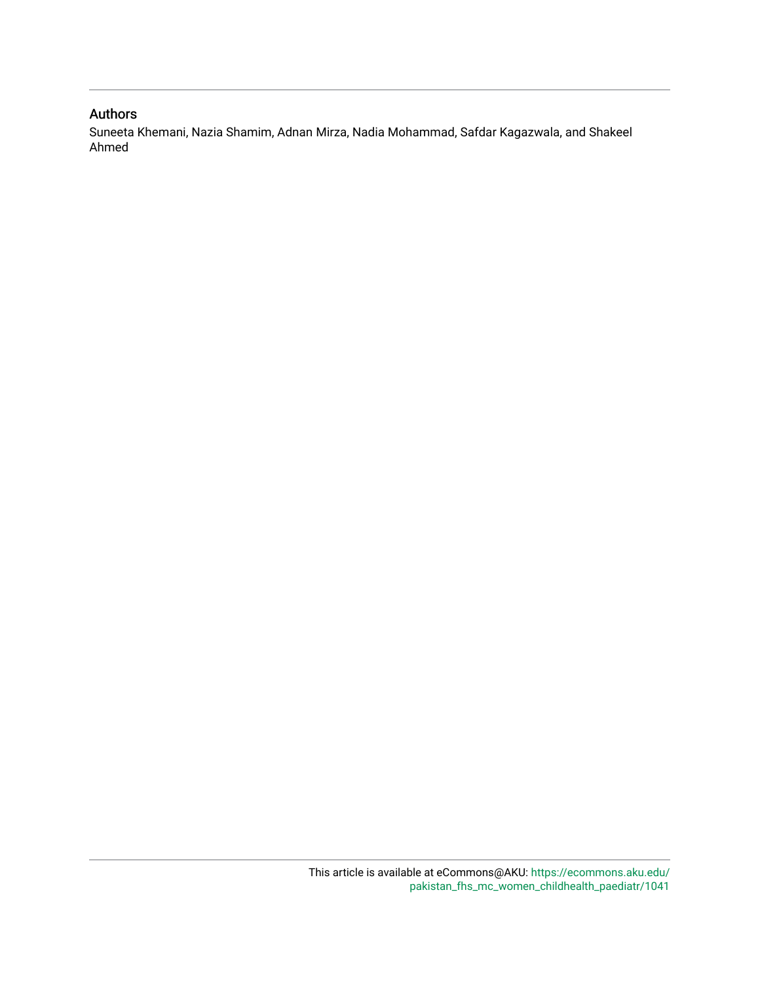#### Authors

Suneeta Khemani, Nazia Shamim, Adnan Mirza, Nadia Mohammad, Safdar Kagazwala, and Shakeel Ahmed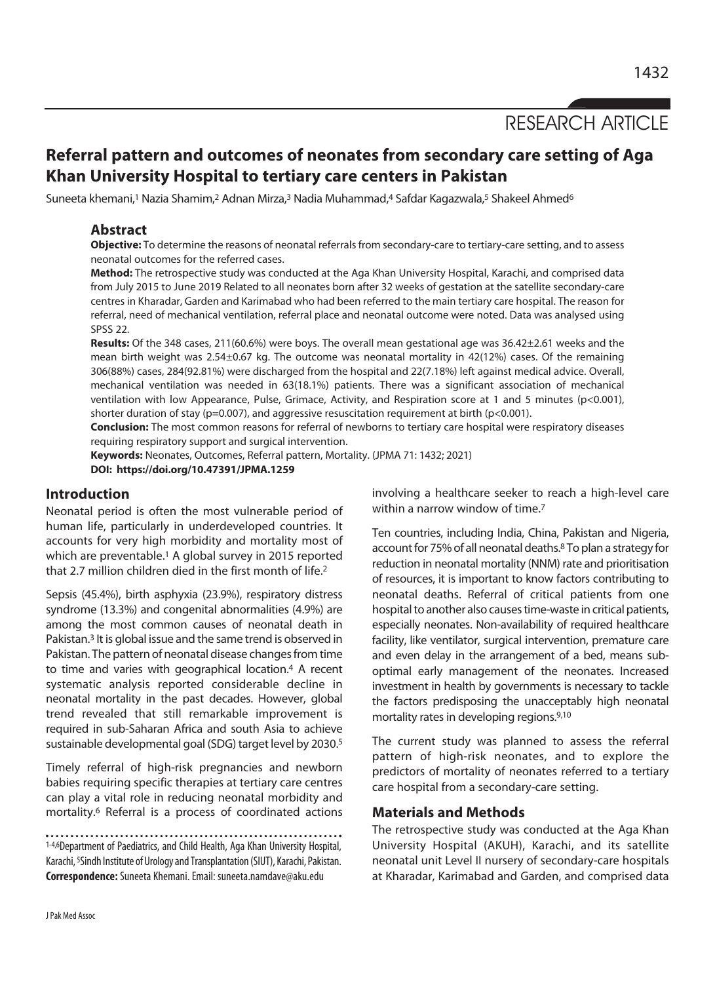### RESEARCH ARTICLE

### **Referral pattern and outcomes of neonates from secondary care setting of Aga Khan University Hospital to tertiary care centers in Pakistan**

Suneeta khemani,<sup>1</sup> Nazia Shamim,<sup>2</sup> Adnan Mirza,<sup>3</sup> Nadia Muhammad,4 Safdar Kagazwala,<sup>5</sup> Shakeel Ahmed<sup>6</sup>

#### **Abstract**

**Objective:** To determine the reasons of neonatal referrals from secondary-care to tertiary-care setting, and to assess neonatal outcomes for the referred cases.

**Method:** The retrospective study was conducted at the Aga Khan University Hospital, Karachi, and comprised data from July 2015 to June 2019 Related to all neonates born after 32 weeks of gestation at the satellite secondary-care centres in Kharadar, Garden and Karimabad who had been referred to the main tertiary care hospital. The reason for referral, need of mechanical ventilation, referral place and neonatal outcome were noted. Data was analysed using SPSS 22.

**Results:** Of the 348 cases, 211(60.6%) were boys. The overall mean gestational age was 36.42±2.61 weeks and the mean birth weight was 2.54±0.67 kg. The outcome was neonatal mortality in 42(12%) cases. Of the remaining 306(88%) cases, 284(92.81%) were discharged from the hospital and 22(7.18%) left against medical advice. Overall, mechanical ventilation was needed in 63(18.1%) patients. There was a significant association of mechanical ventilation with low Appearance, Pulse, Grimace, Activity, and Respiration score at 1 and 5 minutes (p<0.001), shorter duration of stay ( $p=0.007$ ), and aggressive resuscitation requirement at birth ( $p<0.001$ ).

**Conclusion:** The most common reasons for referral of newborns to tertiary care hospital were respiratory diseases requiring respiratory support and surgical intervention.

**Keywords:** Neonates, Outcomes, Referral pattern, Mortality. (JPMA 71: 1432; 2021) **DOI: https://doi.org/10.47391/JPMA.1259**

#### **Introduction**

Neonatal period is often the most vulnerable period of human life, particularly in underdeveloped countries. It accounts for very high morbidity and mortality most of which are preventable.<sup>1</sup> A global survey in 2015 reported that 2.7 million children died in the first month of life.2

Sepsis (45.4%), birth asphyxia (23.9%), respiratory distress syndrome (13.3%) and congenital abnormalities (4.9%) are among the most common causes of neonatal death in Pakistan.<sup>3</sup> It is global issue and the same trend is observed in Pakistan. The pattern of neonatal disease changes from time to time and varies with geographical location.4 A recent systematic analysis reported considerable decline in neonatal mortality in the past decades. However, global trend revealed that still remarkable improvement is required in sub-Saharan Africa and south Asia to achieve sustainable developmental goal (SDG) target level by 2030.5

Timely referral of high-risk pregnancies and newborn babies requiring specific therapies at tertiary care centres can play a vital role in reducing neonatal morbidity and mortality.6 Referral is a process of coordinated actions

```
1-4,6Department of Paediatrics, and Child Health, Aga Khan University Hospital,
Karachi, 5Sindh Institute of Urology and Transplantation (SIUT), Karachi, Pakistan. 
Correspondence: Suneeta Khemani. Email: suneeta.namdave@aku.edu
```
involving a healthcare seeker to reach a high-level care within a narrow window of time.<sup>7</sup>

Ten countries, including India, China, Pakistan and Nigeria, account for 75% of all neonatal deaths.8 To plan a strategy for reduction in neonatal mortality (NNM) rate and prioritisation of resources, it is important to know factors contributing to neonatal deaths. Referral of critical patients from one hospital to another also causes time-waste in critical patients, especially neonates. Non-availability of required healthcare facility, like ventilator, surgical intervention, premature care and even delay in the arrangement of a bed, means suboptimal early management of the neonates. Increased investment in health by governments is necessary to tackle the factors predisposing the unacceptably high neonatal mortality rates in developing regions.9,10

The current study was planned to assess the referral pattern of high-risk neonates, and to explore the predictors of mortality of neonates referred to a tertiary care hospital from a secondary-care setting.

#### **Materials and Methods**

The retrospective study was conducted at the Aga Khan University Hospital (AKUH), Karachi, and its satellite neonatal unit Level II nursery of secondary-care hospitals at Kharadar, Karimabad and Garden, and comprised data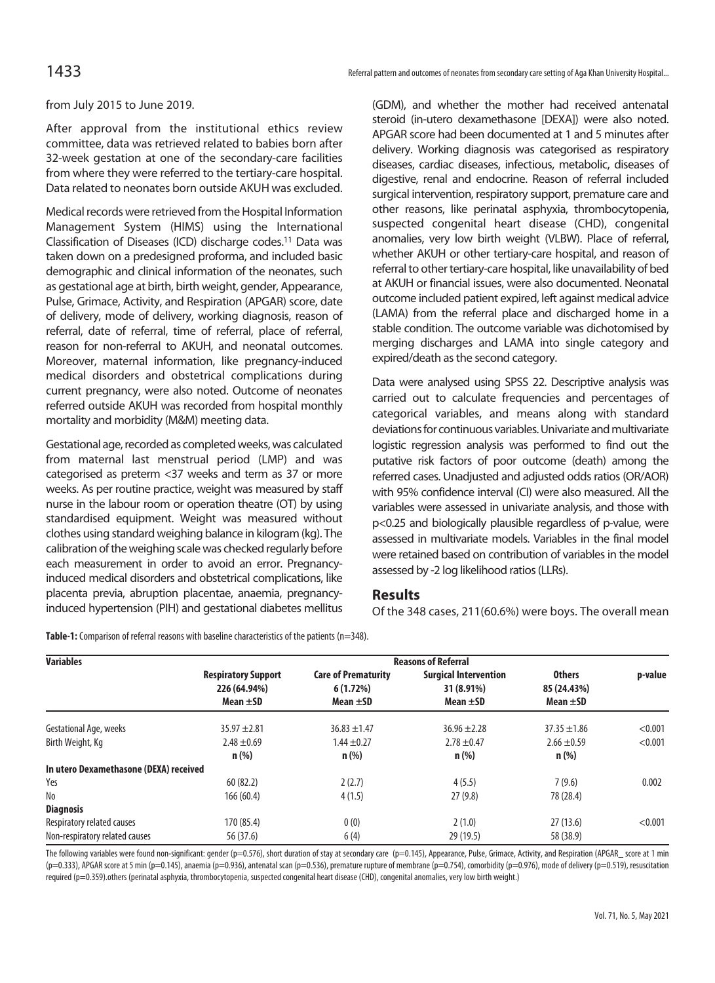from July 2015 to June 2019.

After approval from the institutional ethics review committee, data was retrieved related to babies born after 32-week gestation at one of the secondary-care facilities from where they were referred to the tertiary-care hospital. Data related to neonates born outside AKUH was excluded.

Medical records were retrieved from the Hospital Information Management System (HIMS) using the International Classification of Diseases (ICD) discharge codes.11 Data was taken down on a predesigned proforma, and included basic demographic and clinical information of the neonates, such as gestational age at birth, birth weight, gender, Appearance, Pulse, Grimace, Activity, and Respiration (APGAR) score, date of delivery, mode of delivery, working diagnosis, reason of referral, date of referral, time of referral, place of referral, reason for non-referral to AKUH, and neonatal outcomes. Moreover, maternal information, like pregnancy-induced medical disorders and obstetrical complications during current pregnancy, were also noted. Outcome of neonates referred outside AKUH was recorded from hospital monthly mortality and morbidity (M&M) meeting data.

Gestational age, recorded as completed weeks, was calculated from maternal last menstrual period (LMP) and was categorised as preterm <37 weeks and term as 37 or more weeks. As per routine practice, weight was measured by staff nurse in the labour room or operation theatre (OT) by using standardised equipment. Weight was measured without clothes using standard weighing balance in kilogram (kg). The calibration of the weighing scale was checked regularly before each measurement in order to avoid an error. Pregnancyinduced medical disorders and obstetrical complications, like placenta previa, abruption placentae, anaemia, pregnancyinduced hypertension (PIH) and gestational diabetes mellitus

(GDM), and whether the mother had received antenatal steroid (in-utero dexamethasone [DEXA]) were also noted. APGAR score had been documented at 1 and 5 minutes after delivery. Working diagnosis was categorised as respiratory diseases, cardiac diseases, infectious, metabolic, diseases of digestive, renal and endocrine. Reason of referral included surgical intervention, respiratory support, premature care and other reasons, like perinatal asphyxia, thrombocytopenia, suspected congenital heart disease (CHD), congenital anomalies, very low birth weight (VLBW). Place of referral, whether AKUH or other tertiary-care hospital, and reason of referral to other tertiary-care hospital, like unavailability of bed at AKUH or financial issues, were also documented. Neonatal outcome included patient expired, left against medical advice (LAMA) from the referral place and discharged home in a stable condition. The outcome variable was dichotomised by merging discharges and LAMA into single category and expired/death as the second category.

Data were analysed using SPSS 22. Descriptive analysis was carried out to calculate frequencies and percentages of categorical variables, and means along with standard deviations for continuous variables. Univariate and multivariate logistic regression analysis was performed to find out the putative risk factors of poor outcome (death) among the referred cases. Unadjusted and adjusted odds ratios (OR/AOR) with 95% confidence interval (CI) were also measured. All the variables were assessed in univariate analysis, and those with p<0.25 and biologically plausible regardless of p-value, were assessed in multivariate models. Variables in the final model were retained based on contribution of variables in the model assessed by -2 log likelihood ratios (LLRs).

#### **Results**

Of the 348 cases, 211(60.6%) were boys. The overall mean

**Table-1:** Comparison of referral reasons with baseline characteristics of the patients (n=348).

| <b>Variables</b>                       | <b>Reasons of Referral</b>                                  |                                                         |                                                             |                                               |         |  |
|----------------------------------------|-------------------------------------------------------------|---------------------------------------------------------|-------------------------------------------------------------|-----------------------------------------------|---------|--|
|                                        | <b>Respiratory Support</b><br>226 (64.94%)<br>Mean $\pm$ SD | <b>Care of Prematurity</b><br>6(1.72%)<br>Mean $\pm$ SD | <b>Surgical Intervention</b><br>31 (8.91%)<br>Mean $\pm$ SD | <b>Others</b><br>85 (24.43%)<br>Mean $\pm$ SD | p-value |  |
| Gestational Age, weeks                 | $35.97 \pm 2.81$                                            | $36.83 + 1.47$                                          | $36.96 \pm 2.28$                                            | $37.35 \pm 1.86$                              | < 0.001 |  |
| Birth Weight, Kg                       | $2.48 \pm 0.69$                                             | $1.44 \pm 0.27$                                         | $2.78 \pm 0.47$                                             | $2.66 \pm 0.59$                               | < 0.001 |  |
|                                        | $n$ (%)                                                     | $n$ (%)                                                 | $n$ (%)                                                     | $n$ (%)                                       |         |  |
| In utero Dexamethasone (DEXA) received |                                                             |                                                         |                                                             |                                               |         |  |
| Yes                                    | 60(82.2)                                                    | 2(2.7)                                                  | 4(5.5)                                                      | 7(9.6)                                        | 0.002   |  |
| No                                     | 166 (60.4)                                                  | 4(1.5)                                                  | 27(9.8)                                                     | 78 (28.4)                                     |         |  |
| <b>Diagnosis</b>                       |                                                             |                                                         |                                                             |                                               |         |  |
| Respiratory related causes             | 170 (85.4)                                                  | 0(0)                                                    | 2(1.0)                                                      | 27(13.6)                                      | < 0.001 |  |
| Non-respiratory related causes         | 56 (37.6)                                                   | 6(4)                                                    | 29 (19.5)                                                   | 58 (38.9)                                     |         |  |

The following variables were found non-significant: gender (p=0.576), short duration of stay at secondary care (p=0.145), Appearance, Pulse, Grimace, Activity, and Respiration (APGAR\_ score at 1 min  $(p=0.333)$ , APGAR score at 5 min (p=0.145), anaemia (p=0.936), antenatal scan (p=0.536), premature rupture of membrane (p=0.754), comorbidity (p=0.976), mode of delivery (p=0.519), resuscitation required (p=0.359).others (perinatal asphyxia, thrombocytopenia, suspected congenital heart disease (CHD), congenital anomalies, very low birth weight.)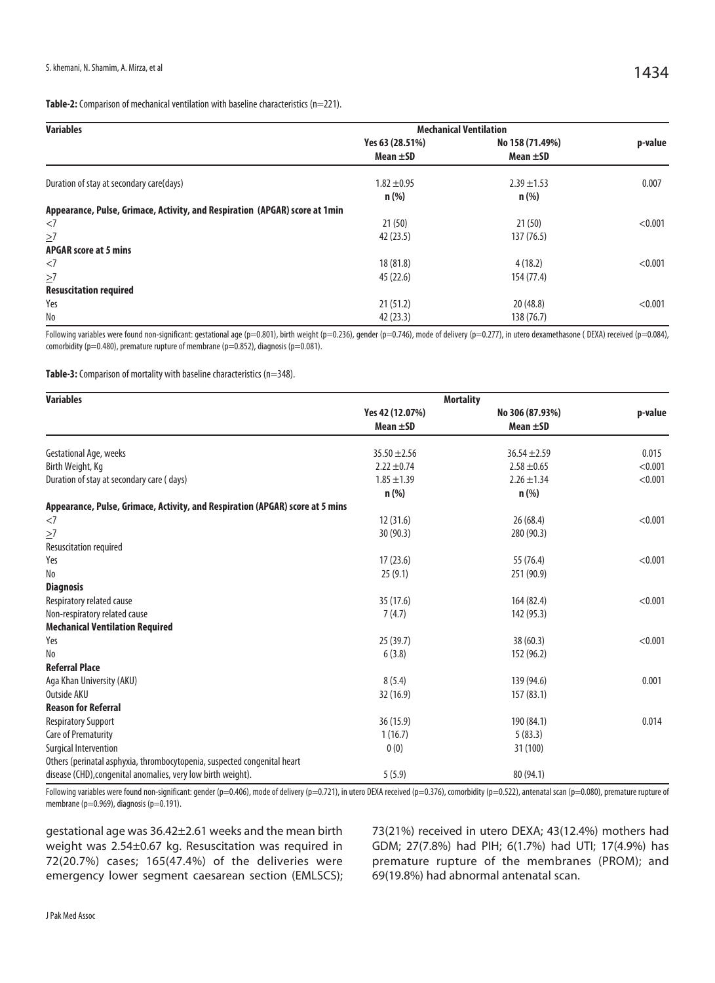| <b>Variables</b>                                                            | <b>Mechanical Ventilation</b>    |                                  |         |  |  |
|-----------------------------------------------------------------------------|----------------------------------|----------------------------------|---------|--|--|
|                                                                             | Yes 63 (28.51%)<br>Mean $\pm$ SD | No 158 (71.49%)<br>Mean $\pm$ SD | p-value |  |  |
| Duration of stay at secondary care(days)                                    | $1.82 \pm 0.95$<br>$n$ (%)       | $2.39 \pm 1.53$<br>$n$ (%)       | 0.007   |  |  |
| Appearance, Pulse, Grimace, Activity, and Respiration (APGAR) score at 1min |                                  |                                  |         |  |  |
| <7                                                                          | 21(50)                           | 21(50)                           | < 0.001 |  |  |
| $\geq$ 7                                                                    | 42 (23.5)                        | 137 (76.5)                       |         |  |  |
| <b>APGAR score at 5 mins</b>                                                |                                  |                                  |         |  |  |
| <7                                                                          | 18 (81.8)                        | 4(18.2)                          | < 0.001 |  |  |
| $\geq$ 7                                                                    | 45(22.6)                         | 154 (77.4)                       |         |  |  |
| <b>Resuscitation required</b>                                               |                                  |                                  |         |  |  |
| Yes                                                                         | 21(51.2)                         | 20(48.8)                         | < 0.001 |  |  |
| No                                                                          | 42(23.3)                         | 138 (76.7)                       |         |  |  |

Following variables were found non-significant: gestational age (p=0.801), birth weight (p=0.236), gender (p=0.746), mode of delivery (p=0.277), in utero dexamethasone (DEXA) received (p=0.084), comorbidity (p=0.480), premature rupture of membrane (p=0.852), diagnosis (p=0.081).

Table-3: Comparison of mortality with baseline characteristics (n=348).

| <b>Variables</b>                                                              | <b>Mortality</b> |                  |         |
|-------------------------------------------------------------------------------|------------------|------------------|---------|
|                                                                               | Yes 42 (12.07%)  | No 306 (87.93%)  | p-value |
|                                                                               | Mean $\pm$ SD    | Mean $\pm$ SD    |         |
| Gestational Age, weeks                                                        | $35.50 \pm 2.56$ | $36.54 \pm 2.59$ | 0.015   |
| Birth Weight, Kg                                                              | $2.22 \pm 0.74$  | $2.58 \pm 0.65$  | < 0.001 |
| Duration of stay at secondary care (days)                                     | $1.85 \pm 1.39$  | $2.26 \pm 1.34$  | < 0.001 |
|                                                                               | $n$ (%)          | $n$ (%)          |         |
| Appearance, Pulse, Grimace, Activity, and Respiration (APGAR) score at 5 mins |                  |                  |         |
| $<$ 7                                                                         | 12(31.6)         | 26(68.4)         | < 0.001 |
| $\geq$ 7                                                                      | 30(90.3)         | 280 (90.3)       |         |
| Resuscitation required                                                        |                  |                  |         |
| Yes                                                                           | 17(23.6)         | 55 (76.4)        | < 0.001 |
| No                                                                            | 25(9.1)          | 251 (90.9)       |         |
| <b>Diagnosis</b>                                                              |                  |                  |         |
| Respiratory related cause                                                     | 35 (17.6)        | 164 (82.4)       | < 0.001 |
| Non-respiratory related cause                                                 | 7(4.7)           | 142 (95.3)       |         |
| <b>Mechanical Ventilation Required</b>                                        |                  |                  |         |
| Yes                                                                           | 25(39.7)         | 38(60.3)         | < 0.001 |
| N <sub>o</sub>                                                                | 6(3.8)           | 152 (96.2)       |         |
| <b>Referral Place</b>                                                         |                  |                  |         |
| Aga Khan University (AKU)                                                     | 8(5.4)           | 139 (94.6)       | 0.001   |
| Outside AKU                                                                   | 32(16.9)         | 157(83.1)        |         |
| <b>Reason for Referral</b>                                                    |                  |                  |         |
| <b>Respiratory Support</b>                                                    | 36(15.9)         | 190 (84.1)       | 0.014   |
| <b>Care of Prematurity</b>                                                    | 1(16.7)          | 5(83.3)          |         |
| Surgical Intervention                                                         | 0(0)             | 31 (100)         |         |
| Others (perinatal asphyxia, thrombocytopenia, suspected congenital heart      |                  |                  |         |
| disease (CHD), congenital anomalies, very low birth weight).                  | 5(5.9)           | 80 (94.1)        |         |

Following variables were found non-significant: gender (p=0.406), mode of delivery (p=0.721), in utero DEXA received (p=0.376), comorbidity (p=0.522), antenatal scan (p=0.080), premature rupture of membrane (p=0.969), diagnosis (p=0.191).

gestational age was 36.42±2.61 weeks and the mean birth weight was 2.54±0.67 kg. Resuscitation was required in 72(20.7%) cases; 165(47.4%) of the deliveries were emergency lower segment caesarean section (EMLSCS); 73(21%) received in utero DEXA; 43(12.4%) mothers had GDM; 27(7.8%) had PIH; 6(1.7%) had UTI; 17(4.9%) has premature rupture of the membranes (PROM); and 69(19.8%) had abnormal antenatal scan.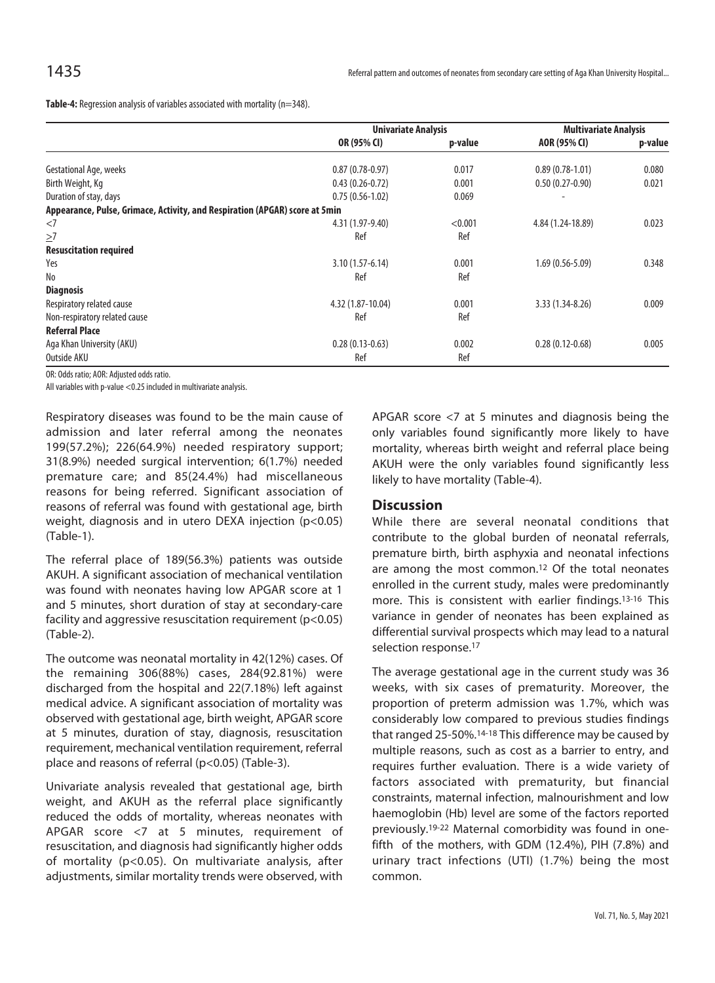**Table-4:** Regression analysis of variables associated with mortality (n=348).

|                                                                             |                   | <b>Univariate Analysis</b> |                     | <b>Multivariate Analysis</b> |  |
|-----------------------------------------------------------------------------|-------------------|----------------------------|---------------------|------------------------------|--|
|                                                                             | OR (95% CI)       | p-value                    | AOR (95% CI)        | p-value                      |  |
| Gestational Age, weeks                                                      | $0.87(0.78-0.97)$ | 0.017                      | $0.89(0.78-1.01)$   | 0.080                        |  |
| Birth Weight, Kg                                                            | $0.43(0.26-0.72)$ | 0.001                      | $0.50(0.27-0.90)$   | 0.021                        |  |
| Duration of stay, days                                                      | $0.75(0.56-1.02)$ | 0.069                      |                     |                              |  |
| Appearance, Pulse, Grimace, Activity, and Respiration (APGAR) score at 5min |                   |                            |                     |                              |  |
| $<$ 7                                                                       | 4.31 (1.97-9.40)  | < 0.001                    | 4.84 (1.24-18.89)   | 0.023                        |  |
| $\geq$ 7                                                                    | Ref               | Ref                        |                     |                              |  |
| <b>Resuscitation required</b>                                               |                   |                            |                     |                              |  |
| Yes                                                                         | $3.10(1.57-6.14)$ | 0.001                      | $1.69(0.56 - 5.09)$ | 0.348                        |  |
| No                                                                          | Ref               | Ref                        |                     |                              |  |
| <b>Diagnosis</b>                                                            |                   |                            |                     |                              |  |
| Respiratory related cause                                                   | 4.32 (1.87-10.04) | 0.001                      | 3.33 (1.34-8.26)    | 0.009                        |  |
| Non-respiratory related cause                                               | Ref               | Ref                        |                     |                              |  |
| <b>Referral Place</b>                                                       |                   |                            |                     |                              |  |
| Aga Khan University (AKU)                                                   | $0.28(0.13-0.63)$ | 0.002                      | $0.28(0.12 - 0.68)$ | 0.005                        |  |
| Outside AKU                                                                 | Ref               | Ref                        |                     |                              |  |

OR: Odds ratio; AOR: Adjusted odds ratio.

All variables with p-value <0.25 included in multivariate analysis.

Respiratory diseases was found to be the main cause of admission and later referral among the neonates 199(57.2%); 226(64.9%) needed respiratory support; 31(8.9%) needed surgical intervention; 6(1.7%) needed premature care; and 85(24.4%) had miscellaneous reasons for being referred. Significant association of reasons of referral was found with gestational age, birth weight, diagnosis and in utero DEXA injection (p<0.05) (Table-1).

The referral place of 189(56.3%) patients was outside AKUH. A significant association of mechanical ventilation was found with neonates having low APGAR score at 1 and 5 minutes, short duration of stay at secondary-care facility and aggressive resuscitation requirement (p<0.05) (Table-2).

The outcome was neonatal mortality in 42(12%) cases. Of the remaining 306(88%) cases, 284(92.81%) were discharged from the hospital and 22(7.18%) left against medical advice. A significant association of mortality was observed with gestational age, birth weight, APGAR score at 5 minutes, duration of stay, diagnosis, resuscitation requirement, mechanical ventilation requirement, referral place and reasons of referral (p<0.05) (Table-3).

Univariate analysis revealed that gestational age, birth weight, and AKUH as the referral place significantly reduced the odds of mortality, whereas neonates with APGAR score <7 at 5 minutes, requirement of resuscitation, and diagnosis had significantly higher odds of mortality (p<0.05). On multivariate analysis, after adjustments, similar mortality trends were observed, with APGAR score <7 at 5 minutes and diagnosis being the only variables found significantly more likely to have mortality, whereas birth weight and referral place being AKUH were the only variables found significantly less likely to have mortality (Table-4).

#### **Discussion**

While there are several neonatal conditions that contribute to the global burden of neonatal referrals, premature birth, birth asphyxia and neonatal infections are among the most common.12 Of the total neonates enrolled in the current study, males were predominantly more. This is consistent with earlier findings.13-16 This variance in gender of neonates has been explained as differential survival prospects which may lead to a natural selection response.17

The average gestational age in the current study was 36 weeks, with six cases of prematurity. Moreover, the proportion of preterm admission was 1.7%, which was considerably low compared to previous studies findings that ranged 25-50%.14-18 This difference may be caused by multiple reasons, such as cost as a barrier to entry, and requires further evaluation. There is a wide variety of factors associated with prematurity, but financial constraints, maternal infection, malnourishment and low haemoglobin (Hb) level are some of the factors reported previously.19-22 Maternal comorbidity was found in onefifth of the mothers, with GDM (12.4%), PIH (7.8%) and urinary tract infections (UTI) (1.7%) being the most common.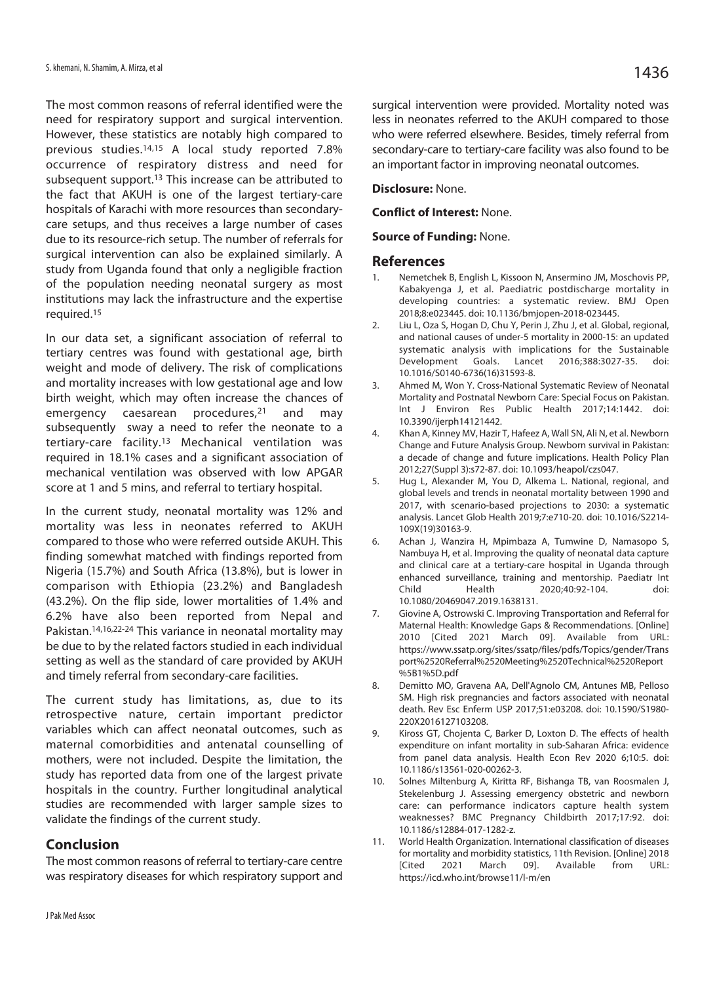The most common reasons of referral identified were the need for respiratory support and surgical intervention. However, these statistics are notably high compared to previous studies.14,15 A local study reported 7.8% occurrence of respiratory distress and need for subsequent support.<sup>13</sup> This increase can be attributed to the fact that AKUH is one of the largest tertiary-care hospitals of Karachi with more resources than secondarycare setups, and thus receives a large number of cases due to its resource-rich setup. The number of referrals for surgical intervention can also be explained similarly. A study from Uganda found that only a negligible fraction of the population needing neonatal surgery as most institutions may lack the infrastructure and the expertise required.15

In our data set, a significant association of referral to tertiary centres was found with gestational age, birth weight and mode of delivery. The risk of complications and mortality increases with low gestational age and low birth weight, which may often increase the chances of emergency caesarean procedures,21 and may subsequently sway a need to refer the neonate to a tertiary-care facility.13 Mechanical ventilation was required in 18.1% cases and a significant association of mechanical ventilation was observed with low APGAR score at 1 and 5 mins, and referral to tertiary hospital.

In the current study, neonatal mortality was 12% and mortality was less in neonates referred to AKUH compared to those who were referred outside AKUH. This finding somewhat matched with findings reported from Nigeria (15.7%) and South Africa (13.8%), but is lower in comparison with Ethiopia (23.2%) and Bangladesh (43.2%). On the flip side, lower mortalities of 1.4% and 6.2% have also been reported from Nepal and Pakistan.14,16,22-24 This variance in neonatal mortality may be due to by the related factors studied in each individual setting as well as the standard of care provided by AKUH and timely referral from secondary-care facilities.

The current study has limitations, as, due to its retrospective nature, certain important predictor variables which can affect neonatal outcomes, such as maternal comorbidities and antenatal counselling of mothers, were not included. Despite the limitation, the study has reported data from one of the largest private hospitals in the country. Further longitudinal analytical studies are recommended with larger sample sizes to validate the findings of the current study.

#### **Conclusion**

The most common reasons of referral to tertiary-care centre was respiratory diseases for which respiratory support and surgical intervention were provided. Mortality noted was less in neonates referred to the AKUH compared to those who were referred elsewhere. Besides, timely referral from secondary-care to tertiary-care facility was also found to be an important factor in improving neonatal outcomes.

**Disclosure:** None.

**Conflict of Interest:** None.

#### **Source of Funding:** None.

#### **References**

- 1. Nemetchek B, English L, Kissoon N, Ansermino JM, Moschovis PP, Kabakyenga J, et al. Paediatric postdischarge mortality in developing countries: a systematic review. BMJ Open 2018;8:e023445. doi: 10.1136/bmjopen-2018-023445.
- 2. Liu L, Oza S, Hogan D, Chu Y, Perin J, Zhu J, et al. Global, regional, and national causes of under-5 mortality in 2000-15: an updated systematic analysis with implications for the Sustainable Development Goals. Lancet 2016;388:3027-35. doi: 10.1016/S0140-6736(16)31593-8.
- 3. Ahmed M, Won Y. Cross-National Systematic Review of Neonatal Mortality and Postnatal Newborn Care: Special Focus on Pakistan. Int J Environ Res Public Health 2017;14:1442. doi: 10.3390/ijerph14121442.
- 4. Khan A, Kinney MV, Hazir T, Hafeez A, Wall SN, Ali N, et al. Newborn Change and Future Analysis Group. Newborn survival in Pakistan: a decade of change and future implications. Health Policy Plan 2012;27(Suppl 3):s72-87. doi: 10.1093/heapol/czs047.
- 5. Hug L, Alexander M, You D, Alkema L. National, regional, and global levels and trends in neonatal mortality between 1990 and 2017, with scenario-based projections to 2030: a systematic analysis. Lancet Glob Health 2019;7:e710-20. doi: 10.1016/S2214- 109X(19)30163-9.
- 6. Achan J, Wanzira H, Mpimbaza A, Tumwine D, Namasopo S, Nambuya H, et al. Improving the quality of neonatal data capture and clinical care at a tertiary-care hospital in Uganda through enhanced surveillance, training and mentorship. Paediatr Int Child Health 2020;40:92-104. doi: 10.1080/20469047.2019.1638131.
- 7. Giovine A, Ostrowski C. Improving Transportation and Referral for Maternal Health: Knowledge Gaps & Recommendations. [Online] 2010 [Cited 2021 March 09]. Available from URL: https://www.ssatp.org/sites/ssatp/files/pdfs/Topics/gender/Trans port%2520Referral%2520Meeting%2520Technical%2520Report %5B1%5D.pdf
- 8. Demitto MO, Gravena AA, Dell'Agnolo CM, Antunes MB, Pelloso SM. High risk pregnancies and factors associated with neonatal death. Rev Esc Enferm USP 2017;51:e03208. doi: 10.1590/S1980- 220X2016127103208.
- 9. Kiross GT, Chojenta C, Barker D, Loxton D. The effects of health expenditure on infant mortality in sub-Saharan Africa: evidence from panel data analysis. Health Econ Rev 2020 6;10:5. doi: 10.1186/s13561-020-00262-3.
- 10. Solnes Miltenburg A, Kiritta RF, Bishanga TB, van Roosmalen J, Stekelenburg J. Assessing emergency obstetric and newborn care: can performance indicators capture health system weaknesses? BMC Pregnancy Childbirth 2017;17:92. doi: 10.1186/s12884-017-1282-z.
- 11. World Health Organization. International classification of diseases for mortality and morbidity statistics, 11th Revision. [Online] 2018 09]. Available https://icd.who.int/browse11/l-m/en